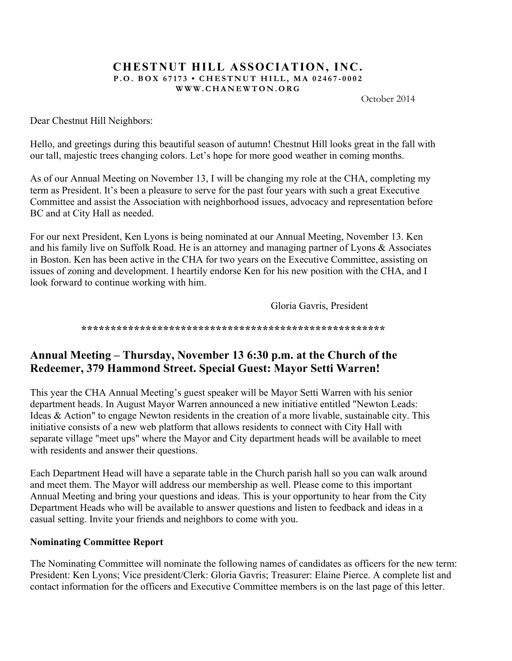#### **CHESTNUT HILL ASSOCIATION, INC. P.O. BOX 67173 • CHESTNUT HILL, MA 02467 - 0002 WWW.CHANEWTON.ORG**

October 2014

Dear Chestnut Hill Neighbors:

Hello, and greetings during this beautiful season of autumn! Chestnut Hill looks great in the fall with our tall, majestic trees changing colors. Let's hope for more good weather in coming months.

As of our Annual Meeting on November 13, I will be changing my role at the CHA, completing my term as President. It's been a pleasure to serve for the past four years with such a great Executive Committee and assist the Association with neighborhood issues, advocacy and representation before BC and at City Hall as needed.

For our next President, Ken Lyons is being nominated at our Annual Meeting, November 13. Ken and his family live on Suffolk Road. He is an attorney and managing partner of Lyons & Associates in Boston. Ken has been active in the CHA for two years on the Executive Committee, assisting on issues of zoning and development. I heartily endorse Ken for his new position with the CHA, and I look forward to continue working with him.

Gloria Gavris, President

**\*\*\*\*\*\*\*\*\*\*\*\*\*\*\*\*\*\*\*\*\*\*\*\*\*\*\*\*\*\*\*\*\*\*\*\*\*\*\*\*\*\*\*\*\*\*\*\*\*\*\*\***

# **Annual Meeting – Thursday, November 13 6:30 p.m. at the Church of the Redeemer, 379 Hammond Street. Special Guest: Mayor Setti Warren!**

This year the CHA Annual Meeting's guest speaker will be Mayor Setti Warren with his senior department heads. In August Mayor Warren announced a new initiative entitled "Newton Leads: Ideas & Action" to engage Newton residents in the creation of a more livable, sustainable city. This initiative consists of a new web platform that allows residents to connect with City Hall with separate village "meet ups" where the Mayor and City department heads will be available to meet with residents and answer their questions.

Each Department Head will have a separate table in the Church parish hall so you can walk around and meet them. The Mayor will address our membership as well. Please come to this important Annual Meeting and bring your questions and ideas. This is your opportunity to hear from the City Department Heads who will be available to answer questions and listen to feedback and ideas in a casual setting. Invite your friends and neighbors to come with you.

### **Nominating Committee Report**

The Nominating Committee will nominate the following names of candidates as officers for the new term: President: Ken Lyons; Vice president/Clerk: Gloria Gavris; Treasurer: Elaine Pierce. A complete list and contact information for the officers and Executive Committee members is on the last page of this letter.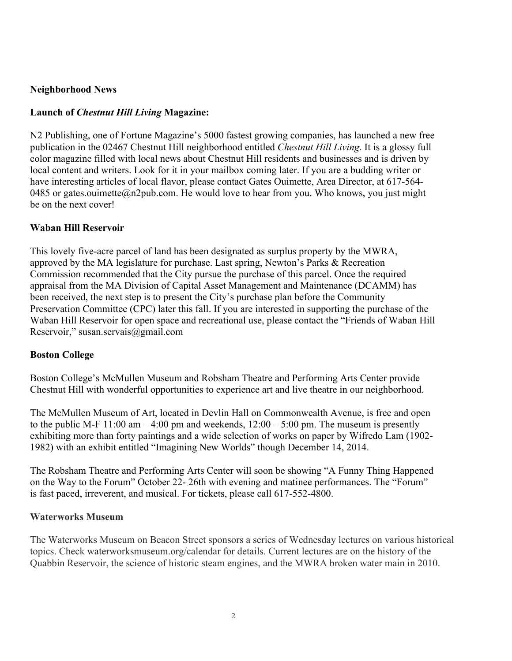#### **Neighborhood News**

## **Launch of** *Chestnut Hill Living* **Magazine:**

N2 Publishing, one of Fortune Magazine's 5000 fastest growing companies, has launched a new free publication in the 02467 Chestnut Hill neighborhood entitled *Chestnut Hill Living*. It is a glossy full color magazine filled with local news about Chestnut Hill residents and businesses and is driven by local content and writers. Look for it in your mailbox coming later. If you are a budding writer or have interesting articles of local flavor, please contact Gates Ouimette, Area Director, at 617-564- 0485 or gates.ouimette@n2pub.com. He would love to hear from you. Who knows, you just might be on the next cover!

## **Waban Hill Reservoir**

This lovely five-acre parcel of land has been designated as surplus property by the MWRA, approved by the MA legislature for purchase. Last spring, Newton's Parks & Recreation Commission recommended that the City pursue the purchase of this parcel. Once the required appraisal from the MA Division of Capital Asset Management and Maintenance (DCAMM) has been received, the next step is to present the City's purchase plan before the Community Preservation Committee (CPC) later this fall. If you are interested in supporting the purchase of the Waban Hill Reservoir for open space and recreational use, please contact the "Friends of Waban Hill Reservoir," susan.servais@gmail.com

## **Boston College**

Boston College's McMullen Museum and Robsham Theatre and Performing Arts Center provide Chestnut Hill with wonderful opportunities to experience art and live theatre in our neighborhood.

The McMullen Museum of Art, located in Devlin Hall on Commonwealth Avenue, is free and open to the public M-F 11:00 am  $-4:00$  pm and weekends,  $12:00 - 5:00$  pm. The museum is presently exhibiting more than forty paintings and a wide selection of works on paper by Wifredo Lam (1902- 1982) with an exhibit entitled "Imagining New Worlds" though December 14, 2014.

The Robsham Theatre and Performing Arts Center will soon be showing "A Funny Thing Happened on the Way to the Forum" October 22- 26th with evening and matinee performances. The "Forum" is fast paced, irreverent, and musical. For tickets, please call 617-552-4800.

## **Waterworks Museum**

The Waterworks Museum on Beacon Street sponsors a series of Wednesday lectures on various historical topics. Check waterworksmuseum.org/calendar for details. Current lectures are on the history of the Quabbin Reservoir, the science of historic steam engines, and the MWRA broken water main in 2010.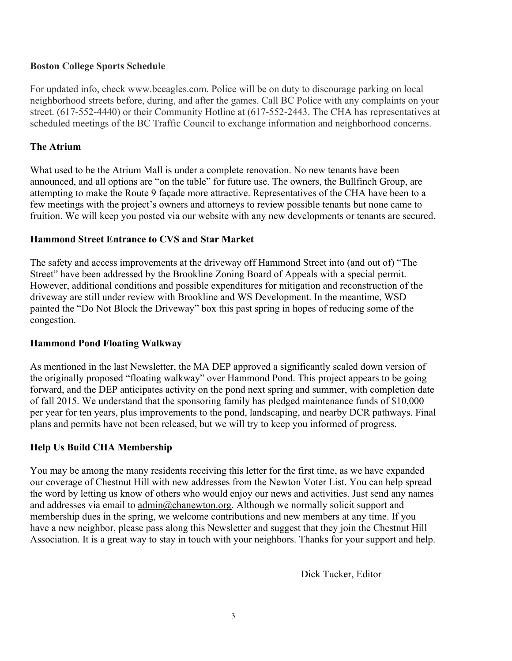### **Boston College Sports Schedule**

For updated info, check www.bceagles.com. Police will be on duty to discourage parking on local neighborhood streets before, during, and after the games. Call BC Police with any complaints on your street. (617-552-4440) or their Community Hotline at (617-552-2443. The CHA has representatives at scheduled meetings of the BC Traffic Council to exchange information and neighborhood concerns.

### **The Atrium**

What used to be the Atrium Mall is under a complete renovation. No new tenants have been announced, and all options are "on the table" for future use. The owners, the Bullfinch Group, are attempting to make the Route 9 façade more attractive. Representatives of the CHA have been to a few meetings with the project's owners and attorneys to review possible tenants but none came to fruition. We will keep you posted via our website with any new developments or tenants are secured.

### **Hammond Street Entrance to CVS and Star Market**

The safety and access improvements at the driveway off Hammond Street into (and out of) "The Street" have been addressed by the Brookline Zoning Board of Appeals with a special permit. However, additional conditions and possible expenditures for mitigation and reconstruction of the driveway are still under review with Brookline and WS Development. In the meantime, WSD painted the "Do Not Block the Driveway" box this past spring in hopes of reducing some of the congestion.

#### **Hammond Pond Floating Walkway**

As mentioned in the last Newsletter, the MA DEP approved a significantly scaled down version of the originally proposed "floating walkway" over Hammond Pond. This project appears to be going forward, and the DEP anticipates activity on the pond next spring and summer, with completion date of fall 2015. We understand that the sponsoring family has pledged maintenance funds of \$10,000 per year for ten years, plus improvements to the pond, landscaping, and nearby DCR pathways. Final plans and permits have not been released, but we will try to keep you informed of progress.

## **Help Us Build CHA Membership**

You may be among the many residents receiving this letter for the first time, as we have expanded our coverage of Chestnut Hill with new addresses from the Newton Voter List. You can help spread the word by letting us know of others who would enjoy our news and activities. Just send any names and addresses via email to  $\underline{admin}(\partial_c$ chanewton.org. Although we normally solicit support and membership dues in the spring, we welcome contributions and new members at any time. If you have a new neighbor, please pass along this Newsletter and suggest that they join the Chestnut Hill Association. It is a great way to stay in touch with your neighbors. Thanks for your support and help.

Dick Tucker, Editor